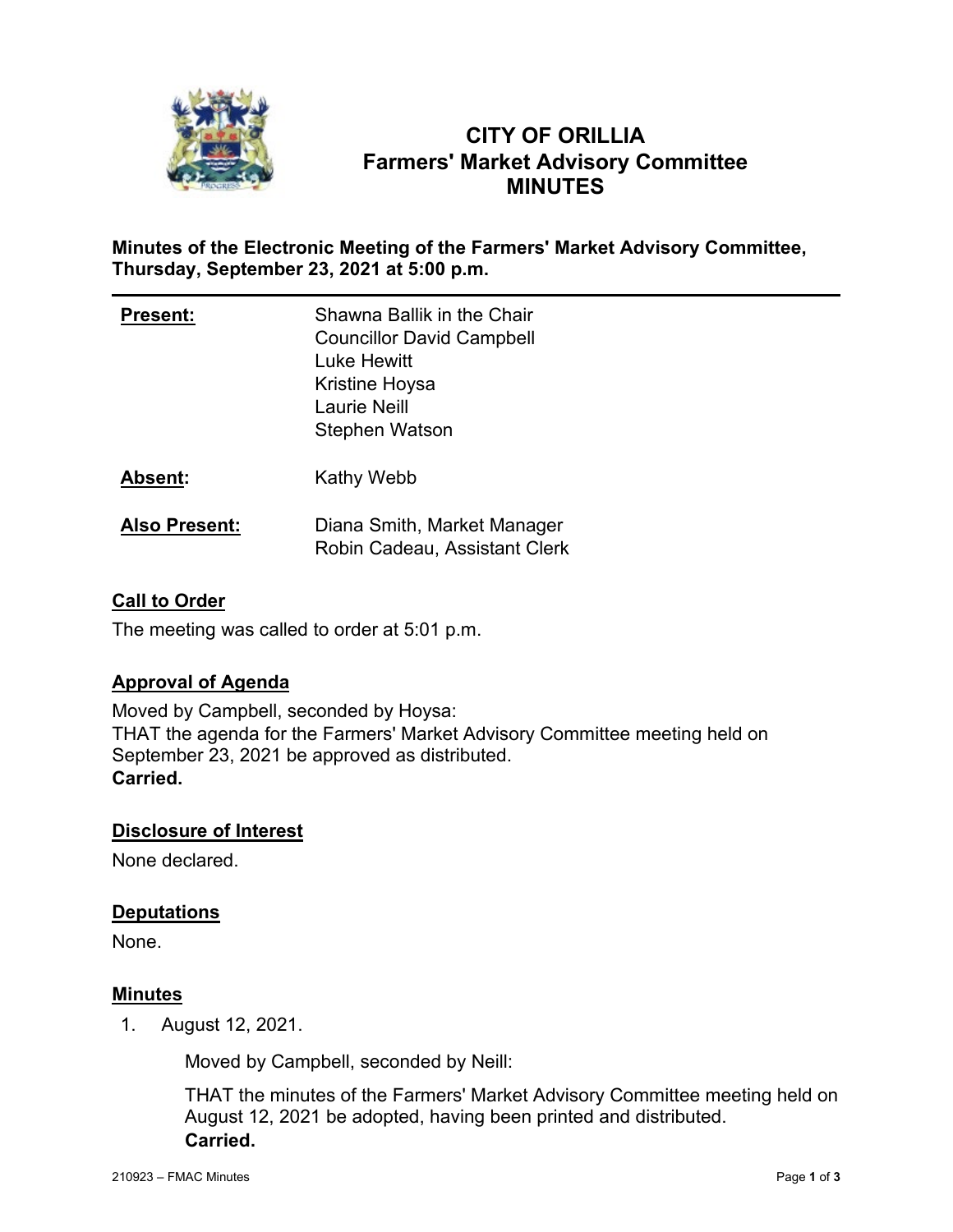

# **CITY OF ORILLIA Farmers' Market Advisory Committee MINUTES**

### **Minutes of the Electronic Meeting of the Farmers' Market Advisory Committee, Thursday, September 23, 2021 at 5:00 p.m.**

| <b>Present:</b>      | Shawna Ballik in the Chair<br><b>Councillor David Campbell</b><br>Luke Hewitt<br>Kristine Hoysa<br><b>Laurie Neill</b><br>Stephen Watson |
|----------------------|------------------------------------------------------------------------------------------------------------------------------------------|
| Absent:              | Kathy Webb                                                                                                                               |
| <b>Also Present:</b> | Diana Smith, Market Manager<br>Robin Cadeau, Assistant Clerk                                                                             |

### **Call to Order**

The meeting was called to order at 5:01 p.m.

### **Approval of Agenda**

Moved by Campbell, seconded by Hoysa: THAT the agenda for the Farmers' Market Advisory Committee meeting held on September 23, 2021 be approved as distributed. **Carried.**

### **Disclosure of Interest**

None declared.

### **Deputations**

None.

#### **Minutes**

1. August 12, 2021.

Moved by Campbell, seconded by Neill:

THAT the minutes of the Farmers' Market Advisory Committee meeting held on August 12, 2021 be adopted, having been printed and distributed. **Carried.**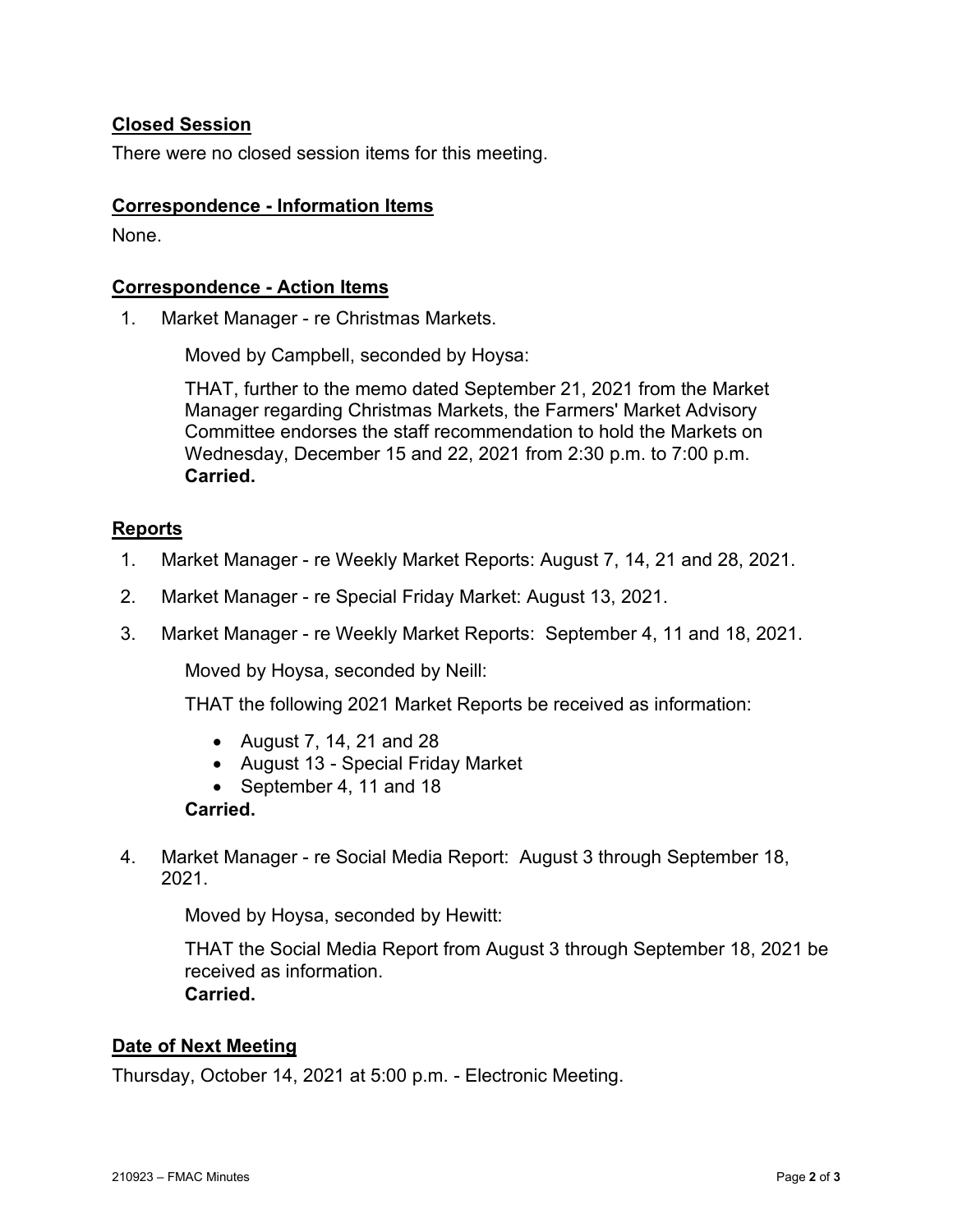### **Closed Session**

There were no closed session items for this meeting.

#### **Correspondence - Information Items**

None.

#### **Correspondence - Action Items**

1. Market Manager - re Christmas Markets.

Moved by Campbell, seconded by Hoysa:

THAT, further to the memo dated September 21, 2021 from the Market Manager regarding Christmas Markets, the Farmers' Market Advisory Committee endorses the staff recommendation to hold the Markets on Wednesday, December 15 and 22, 2021 from 2:30 p.m. to 7:00 p.m. **Carried.**

#### **Reports**

- 1. Market Manager re Weekly Market Reports: August 7, 14, 21 and 28, 2021.
- 2. Market Manager re Special Friday Market: August 13, 2021.
- 3. Market Manager re Weekly Market Reports: September 4, 11 and 18, 2021.

Moved by Hoysa, seconded by Neill:

THAT the following 2021 Market Reports be received as information:

- August 7, 14, 21 and 28
- August 13 Special Friday Market
- September 4, 11 and 18

#### **Carried.**

4. Market Manager - re Social Media Report: August 3 through September 18, 2021.

Moved by Hoysa, seconded by Hewitt:

THAT the Social Media Report from August 3 through September 18, 2021 be received as information. **Carried.**

### **Date of Next Meeting**

Thursday, October 14, 2021 at 5:00 p.m. - Electronic Meeting.